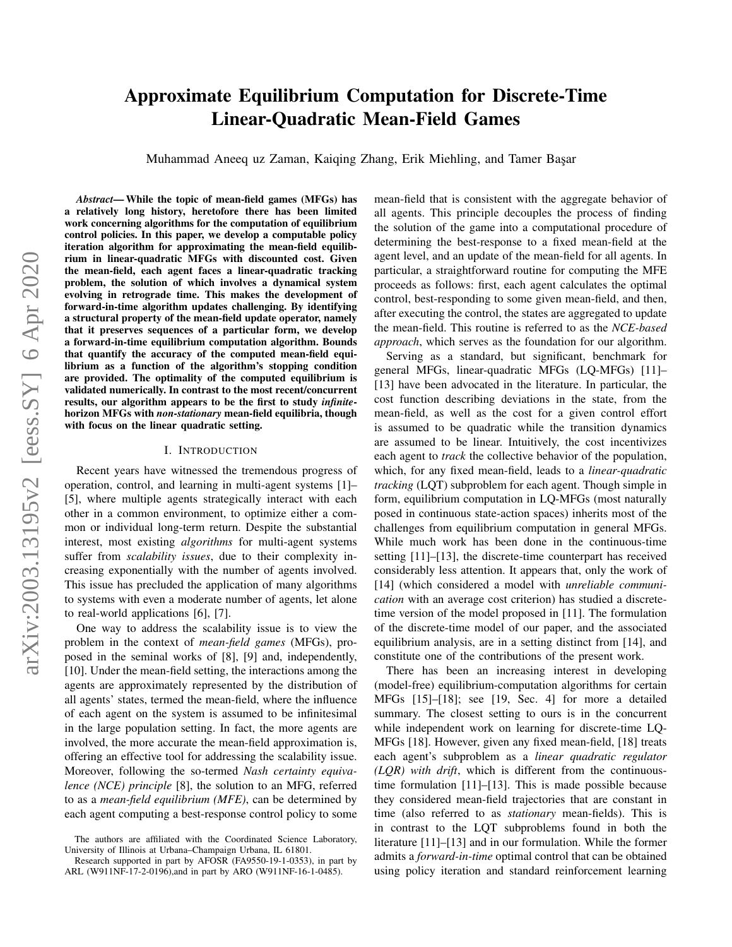# <span id="page-0-0"></span>Approximate Equilibrium Computation for Discrete-Time Linear-Quadratic Mean-Field Games

Muhammad Aneeq uz Zaman, Kaiging Zhang, Erik Miehling, and Tamer Basar

*Abstract*— While the topic of mean-field games (MFGs) has a relatively long history, heretofore there has been limited work concerning algorithms for the computation of equilibrium control policies. In this paper, we develop a computable policy iteration algorithm for approximating the mean-field equilibrium in linear-quadratic MFGs with discounted cost. Given the mean-field, each agent faces a linear-quadratic tracking problem, the solution of which involves a dynamical system evolving in retrograde time. This makes the development of forward-in-time algorithm updates challenging. By identifying a structural property of the mean-field update operator, namely that it preserves sequences of a particular form, we develop a forward-in-time equilibrium computation algorithm. Bounds that quantify the accuracy of the computed mean-field equilibrium as a function of the algorithm's stopping condition are provided. The optimality of the computed equilibrium is validated numerically. In contrast to the most recent/concurrent results, our algorithm appears to be the first to study *infinite*horizon MFGs with *non-stationary* mean-field equilibria, though with focus on the linear quadratic setting.

#### I. INTRODUCTION

Recent years have witnessed the tremendous progress of operation, control, and learning in multi-agent systems [1]– [5], where multiple agents strategically interact with each other in a common environment, to optimize either a common or individual long-term return. Despite the substantial interest, most existing *algorithms* for multi-agent systems suffer from *scalability issues*, due to their complexity increasing exponentially with the number of agents involved. This issue has precluded the application of many algorithms to systems with even a moderate number of agents, let alone to real-world applications [6], [7].

One way to address the scalability issue is to view the problem in the context of *mean-field games* (MFGs), proposed in the seminal works of [8], [9] and, independently, [10]. Under the mean-field setting, the interactions among the agents are approximately represented by the distribution of all agents' states, termed the mean-field, where the influence of each agent on the system is assumed to be infinitesimal in the large population setting. In fact, the more agents are involved, the more accurate the mean-field approximation is, offering an effective tool for addressing the scalability issue. Moreover, following the so-termed *Nash certainty equivalence (NCE) principle* [8], the solution to an MFG, referred to as a *mean-field equilibrium (MFE)*, can be determined by each agent computing a best-response control policy to some mean-field that is consistent with the aggregate behavior of all agents. This principle decouples the process of finding the solution of the game into a computational procedure of determining the best-response to a fixed mean-field at the agent level, and an update of the mean-field for all agents. In particular, a straightforward routine for computing the MFE proceeds as follows: first, each agent calculates the optimal control, best-responding to some given mean-field, and then, after executing the control, the states are aggregated to update the mean-field. This routine is referred to as the *NCE-based approach*, which serves as the foundation for our algorithm.

Serving as a standard, but significant, benchmark for general MFGs, linear-quadratic MFGs (LQ-MFGs) [11]– [13] have been advocated in the literature. In particular, the cost function describing deviations in the state, from the mean-field, as well as the cost for a given control effort is assumed to be quadratic while the transition dynamics are assumed to be linear. Intuitively, the cost incentivizes each agent to *track* the collective behavior of the population, which, for any fixed mean-field, leads to a *linear-quadratic tracking* (LQT) subproblem for each agent. Though simple in form, equilibrium computation in LQ-MFGs (most naturally posed in continuous state-action spaces) inherits most of the challenges from equilibrium computation in general MFGs. While much work has been done in the continuous-time setting [11]–[13], the discrete-time counterpart has received considerably less attention. It appears that, only the work of [14] (which considered a model with *unreliable communication* with an average cost criterion) has studied a discretetime version of the model proposed in [11]. The formulation of the discrete-time model of our paper, and the associated equilibrium analysis, are in a setting distinct from [14], and constitute one of the contributions of the present work.

There has been an increasing interest in developing (model-free) equilibrium-computation algorithms for certain MFGs [15]–[18]; see [19, Sec. 4] for more a detailed summary. The closest setting to ours is in the concurrent while independent work on learning for discrete-time LQ-MFGs [18]. However, given any fixed mean-field, [18] treats each agent's subproblem as a *linear quadratic regulator (LQR) with drift*, which is different from the continuoustime formulation [11]–[13]. This is made possible because they considered mean-field trajectories that are constant in time (also referred to as *stationary* mean-fields). This is in contrast to the LQT subproblems found in both the literature [11]–[13] and in our formulation. While the former admits a *forward-in-time* optimal control that can be obtained using policy iteration and standard reinforcement learning

The authors are affiliated with the Coordinated Science Laboratory, University of Illinois at Urbana–Champaign Urbana, IL 61801.

Research supported in part by AFOSR (FA9550-19-1-0353), in part by ARL (W911NF-17-2-0196),and in part by ARO (W911NF-16-1-0485).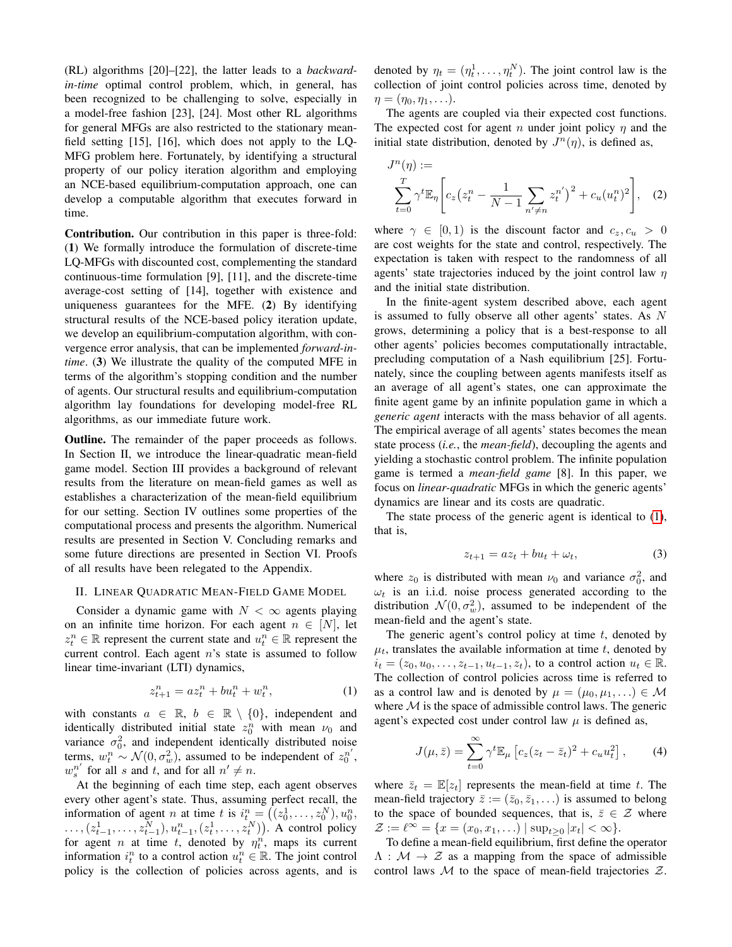(RL) algorithms [20]–[22], the latter leads to a *backwardin-time* optimal control problem, which, in general, has been recognized to be challenging to solve, especially in a model-free fashion [23], [24]. Most other RL algorithms for general MFGs are also restricted to the stationary meanfield setting [15], [16], which does not apply to the LQ-MFG problem here. Fortunately, by identifying a structural property of our policy iteration algorithm and employing an NCE-based equilibrium-computation approach, one can develop a computable algorithm that executes forward in time.

Contribution. Our contribution in this paper is three-fold: (1) We formally introduce the formulation of discrete-time LQ-MFGs with discounted cost, complementing the standard continuous-time formulation [9], [11], and the discrete-time average-cost setting of [14], together with existence and uniqueness guarantees for the MFE. (2) By identifying structural results of the NCE-based policy iteration update, we develop an equilibrium-computation algorithm, with convergence error analysis, that can be implemented *forward-intime*. (3) We illustrate the quality of the computed MFE in terms of the algorithm's stopping condition and the number of agents. Our structural results and equilibrium-computation algorithm lay foundations for developing model-free RL algorithms, as our immediate future work.

Outline. The remainder of the paper proceeds as follows. In Section II, we introduce the linear-quadratic mean-field game model. Section III provides a background of relevant results from the literature on mean-field games as well as establishes a characterization of the mean-field equilibrium for our setting. Section IV outlines some properties of the computational process and presents the algorithm. Numerical results are presented in Section V. Concluding remarks and some future directions are presented in Section VI. Proofs of all results have been relegated to the Appendix.

## II. LINEAR QUADRATIC MEAN-FIELD GAME MODEL

Consider a dynamic game with  $N < \infty$  agents playing on an infinite time horizon. For each agent  $n \in [N]$ , let  $z_t^n \in \mathbb{R}$  represent the current state and  $u_t^n \in \mathbb{R}$  represent the current control. Each agent n's state is assumed to follow linear time-invariant (LTI) dynamics,

$$
z_{t+1}^n = az_t^n + bu_t^n + w_t^n, \t\t(1)
$$

with constants  $a \in \mathbb{R}$ ,  $b \in \mathbb{R} \setminus \{0\}$ , independent and identically distributed initial state  $z_0^n$  with mean  $\nu_0$  and variance  $\sigma_0^2$ , and independent identically distributed noise terms,  $w_t^n \sim \mathcal{N}(0, \sigma_w^2)$ , assumed to be independent of  $z_0^{n'}$ ,  $w_s^{n'}$  for all s and t, and for all  $n' \neq n$ .

At the beginning of each time step, each agent observes every other agent's state. Thus, assuming perfect recall, the information of agent *n* at time *t* is  $i_t^n = ((z_0^1, \ldots, z_0^N), u_0^n,$  $\dots, (z_{t-1}^1, \dots, z_{t-1}^N), u_{t-1}^n, (z_t^1, \dots, z_t^N))$ . A control policy for agent *n* at time *t*, denoted by  $\eta_t^n$ , maps its current information  $i_t^n$  to a control action  $u_t^n \in \mathbb{R}$ . The joint control policy is the collection of policies across agents, and is

denoted by  $\eta_t = (\eta_t^1, \dots, \eta_t^N)$ . The joint control law is the collection of joint control policies across time, denoted by  $\eta = (\eta_0, \eta_1, \ldots).$ 

The agents are coupled via their expected cost functions. The expected cost for agent *n* under joint policy  $\eta$  and the initial state distribution, denoted by  $J^n(\eta)$ , is defined as,

$$
J^{n}(\eta) := \sum_{t=0}^{T} \gamma^{t} \mathbb{E}_{\eta} \left[ c_{z} \left( z_{t}^{n} - \frac{1}{N-1} \sum_{n' \neq n} z_{t}^{n'} \right)^{2} + c_{u} (u_{t}^{n})^{2} \right], \quad (2)
$$

where  $\gamma \in [0, 1)$  is the discount factor and  $c_z, c_u > 0$ are cost weights for the state and control, respectively. The expectation is taken with respect to the randomness of all agents' state trajectories induced by the joint control law  $\eta$ and the initial state distribution.

In the finite-agent system described above, each agent is assumed to fully observe all other agents' states. As N grows, determining a policy that is a best-response to all other agents' policies becomes computationally intractable, precluding computation of a Nash equilibrium [25]. Fortunately, since the coupling between agents manifests itself as an average of all agent's states, one can approximate the finite agent game by an infinite population game in which a *generic agent* interacts with the mass behavior of all agents. The empirical average of all agents' states becomes the mean state process (*i.e.*, the *mean-field*), decoupling the agents and yielding a stochastic control problem. The infinite population game is termed a *mean-field game* [8]. In this paper, we focus on *linear-quadratic* MFGs in which the generic agents' dynamics are linear and its costs are quadratic.

The state process of the generic agent is identical to [\(1\)](#page-1-0), that is,

<span id="page-1-2"></span>
$$
z_{t+1} = az_t + bu_t + \omega_t, \tag{3}
$$

where  $z_0$  is distributed with mean  $\nu_0$  and variance  $\sigma_0^2$ , and  $\omega_t$  is an i.i.d. noise process generated according to the distribution  $\mathcal{N}(0, \sigma_w^2)$ , assumed to be independent of the mean-field and the agent's state.

<span id="page-1-0"></span>The generic agent's control policy at time  $t$ , denoted by  $\mu_t$ , translates the available information at time t, denoted by  $i_t = (z_0, u_0, \ldots, z_{t-1}, u_{t-1}, z_t)$ , to a control action  $u_t \in \mathbb{R}$ . The collection of control policies across time is referred to as a control law and is denoted by  $\mu = (\mu_0, \mu_1, \ldots) \in \mathcal{M}$ where  $M$  is the space of admissible control laws. The generic agent's expected cost under control law  $\mu$  is defined as,

<span id="page-1-1"></span>
$$
J(\mu, \bar{z}) = \sum_{t=0}^{\infty} \gamma^t \mathbb{E}_{\mu} \left[ c_z (z_t - \bar{z}_t)^2 + c_u u_t^2 \right], \quad (4)
$$

where  $\bar{z}_t = \mathbb{E}[z_t]$  represents the mean-field at time t. The mean-field trajectory  $\bar{z} := (\bar{z}_0, \bar{z}_1, \ldots)$  is assumed to belong to the space of bounded sequences, that is,  $\bar{z} \in \mathcal{Z}$  where  $\mathcal{Z} := \ell^{\infty} = \{x = (x_0, x_1, \ldots) | \sup_{t \ge 0} |x_t| < \infty\}.$ 

To define a mean-field equilibrium, first define the operator  $\Lambda : \mathcal{M} \to \mathcal{Z}$  as a mapping from the space of admissible control laws  $\mathcal M$  to the space of mean-field trajectories  $\mathcal Z$ .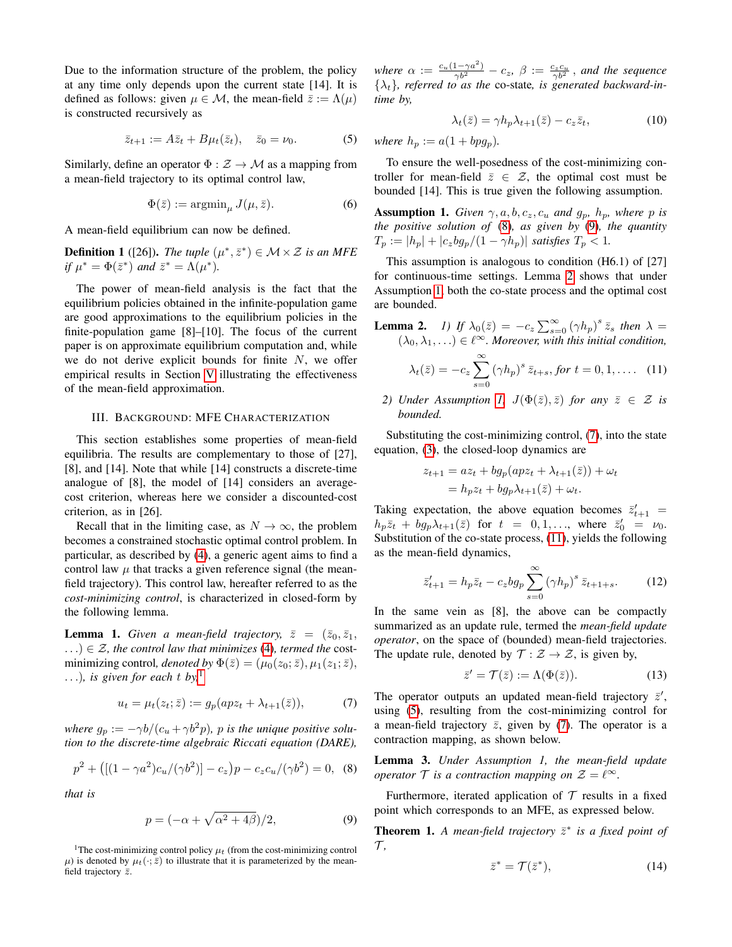Due to the information structure of the problem, the policy at any time only depends upon the current state [14]. It is defined as follows: given  $\mu \in \mathcal{M}$ , the mean-field  $\bar{z} := \Lambda(\mu)$ is constructed recursively as

$$
\bar{z}_{t+1} := A\bar{z}_t + B\mu_t(\bar{z}_t), \quad \bar{z}_0 = \nu_0. \tag{5}
$$

Similarly, define an operator  $\Phi : \mathcal{Z} \to \mathcal{M}$  as a mapping from a mean-field trajectory to its optimal control law,

$$
\Phi(\bar{z}) := \operatorname{argmin}_{\mu} J(\mu, \bar{z}).\tag{6}
$$

A mean-field equilibrium can now be defined.

<span id="page-2-9"></span>**Definition 1** ([26]). *The tuple*  $(\mu^*, \bar{z}^*) \in M \times \mathcal{Z}$  *is an MFE if*  $\mu^* = \Phi(\bar{z}^*)$  *and*  $\bar{z}^* = \Lambda(\mu^*).$ 

The power of mean-field analysis is the fact that the equilibrium policies obtained in the infinite-population game are good approximations to the equilibrium policies in the finite-population game [8]–[10]. The focus of the current paper is on approximate equilibrium computation and, while we do not derive explicit bounds for finite  $N$ , we offer empirical results in Section [V](#page-4-0) illustrating the effectiveness of the mean-field approximation.

## III. BACKGROUND: MFE CHARACTERIZATION

This section establishes some properties of mean-field equilibria. The results are complementary to those of [27], [8], and [14]. Note that while [14] constructs a discrete-time analogue of [8], the model of [14] considers an averagecost criterion, whereas here we consider a discounted-cost criterion, as in [26].

Recall that in the limiting case, as  $N \to \infty$ , the problem becomes a constrained stochastic optimal control problem. In particular, as described by [\(4\)](#page-1-1), a generic agent aims to find a control law  $\mu$  that tracks a given reference signal (the meanfield trajectory). This control law, hereafter referred to as the *cost-minimizing control*, is characterized in closed-form by the following lemma.

<span id="page-2-7"></span>**Lemma 1.** *Given a mean-field trajectory*,  $\bar{z} = (\bar{z}_0, \bar{z}_1, \bar{z}_2)$ ...)  $\in \mathcal{Z}$ *, the control law that minimizes* [\(4\)](#page-1-1)*, termed the* costminimizing control, *denoted by*  $\Phi(\bar{z}) = (\mu_0(z_0; \bar{z}), \mu_1(z_1; \bar{z}),$ ...), is given for each t by,<sup>[1](#page-2-0)</sup>

$$
u_t = \mu_t(z_t; \bar{z}) := g_p(apz_t + \lambda_{t+1}(\bar{z})),\tag{7}
$$

*where*  $g_p := -\gamma b/(c_u + \gamma b^2 p)$ , *p is the unique positive solution to the discrete-time algebraic Riccati equation (DARE),*

$$
p^{2} + ([(1 - \gamma a^{2})c_{u}/(\gamma b^{2})] - c_{z})p - c_{z}c_{u}/(\gamma b^{2}) = 0, \quad (8)
$$

*that is*

$$
p = \left(-\alpha + \sqrt{\alpha^2 + 4\beta}\right)/2,\tag{9}
$$

<span id="page-2-0"></span><sup>1</sup>The cost-minimizing control policy  $\mu_t$  (from the cost-minimizing control  $\mu$ ) is denoted by  $\mu_t(\cdot;\bar{z})$  to illustrate that it is parameterized by the meanfield trajectory  $\bar{z}$ .

*where*  $\alpha := \frac{c_u(1-\gamma a^2)}{\gamma b^2} - c_z$ ,  $\beta := \frac{c_z c_u}{\gamma b^2}$ , and the sequence  $\{\lambda_t\}$ *, referred to as the co-state, is generated backward-intime by,*

<span id="page-2-11"></span>
$$
\lambda_t(\bar{z}) = \gamma h_p \lambda_{t+1}(\bar{z}) - c_z \bar{z}_t,\tag{10}
$$

<span id="page-2-6"></span>*where*  $h_p := a(1 + bpg_p)$ *.* 

To ensure the well-posedness of the cost-minimizing controller for mean-field  $\bar{z} \in \mathcal{Z}$ , the optimal cost must be bounded [14]. This is true given the following assumption.

<span id="page-2-3"></span>**Assumption 1.** *Given*  $\gamma$ ,  $a$ ,  $b$ ,  $c_z$ ,  $c_u$  *and*  $g_p$ ,  $h_p$ , *where*  $p$  *is the positive solution of* [\(8\)](#page-2-1)*, as given by* [\(9\)](#page-2-2)*, the quantity*  $T_p := |h_p| + |c_zbg_p/(1 - \gamma h_p)|$  *satisfies*  $T_p < 1$ .

This assumption is analogous to condition (H6.1) of [27] for continuous-time settings. Lemma [2](#page-0-0) shows that under Assumption [1,](#page-2-3) both the co-state process and the optimal cost are bounded.

**Lemma 2.** *1)* If 
$$
\lambda_0(\bar{z}) = -c_z \sum_{s=0}^{\infty} (\gamma h_p)^s \bar{z}_s
$$
 then  $\lambda = (\lambda_0, \lambda_1, \ldots) \in \ell^{\infty}$ . Moreover, with this initial condition,

<span id="page-2-5"></span>
$$
\lambda_t(\bar{z}) = -c_z \sum_{s=0}^{\infty} (\gamma h_p)^s \, \bar{z}_{t+s}, \text{for } t = 0, 1, \dots \quad (11)
$$

*2) Under Assumption [1,](#page-2-3)*  $J(\Phi(\bar{z}), \bar{z})$  *for any*  $\bar{z} \in \mathcal{Z}$  *is bounded.*

Substituting the cost-minimizing control, [\(7\)](#page-2-4), into the state equation, [\(3\)](#page-1-2), the closed-loop dynamics are

$$
z_{t+1} = az_t + bg_p(apz_t + \lambda_{t+1}(\bar{z})) + \omega_t
$$
  
=  $h_p z_t + bg_p \lambda_{t+1}(\bar{z}) + \omega_t.$ 

Taking expectation, the above equation becomes  $\bar{z}'_{t+1}$  =  $h_p\bar{z}_t + bg_p\lambda_{t+1}(\bar{z})$  for  $t = 0, 1, \ldots$ , where  $\bar{z}'_0 = \nu_0$ . Substitution of the co-state process, [\(11\)](#page-2-5), yields the following as the mean-field dynamics,

$$
\bar{z}'_{t+1} = h_p \bar{z}_t - c_z b g_p \sum_{s=0}^{\infty} (\gamma h_p)^s \bar{z}_{t+1+s}.
$$
 (12)

In the same vein as [8], the above can be compactly summarized as an update rule, termed the *mean-field update operator*, on the space of (bounded) mean-field trajectories. The update rule, denoted by  $\mathcal{T} : \mathcal{Z} \to \mathcal{Z}$ , is given by,

<span id="page-2-13"></span><span id="page-2-8"></span>
$$
\bar{z}' = \mathcal{T}(\bar{z}) := \Lambda(\Phi(\bar{z})).\tag{13}
$$

<span id="page-2-4"></span>The operator outputs an updated mean-field trajectory  $\bar{z}$ , using [\(5\)](#page-2-6), resulting from the cost-minimizing control for a mean-field trajectory  $\bar{z}$ , given by [\(7\)](#page-2-4). The operator is a contraction mapping, as shown below.

<span id="page-2-12"></span><span id="page-2-1"></span>Lemma 3. *Under Assumption 1, the mean-field update operator*  $\mathcal{T}$  *is a contraction mapping on*  $\mathcal{Z} = \ell^{\infty}$ *.* 

<span id="page-2-2"></span>Furthermore, iterated application of  $T$  results in a fixed point which corresponds to an MFE, as expressed below.

<span id="page-2-10"></span>**Theorem 1.** A mean-field trajectory  $\bar{z}^*$  is a fixed point of  $\mathcal T$ ,

$$
\bar{z}^* = \mathcal{T}(\bar{z}^*),\tag{14}
$$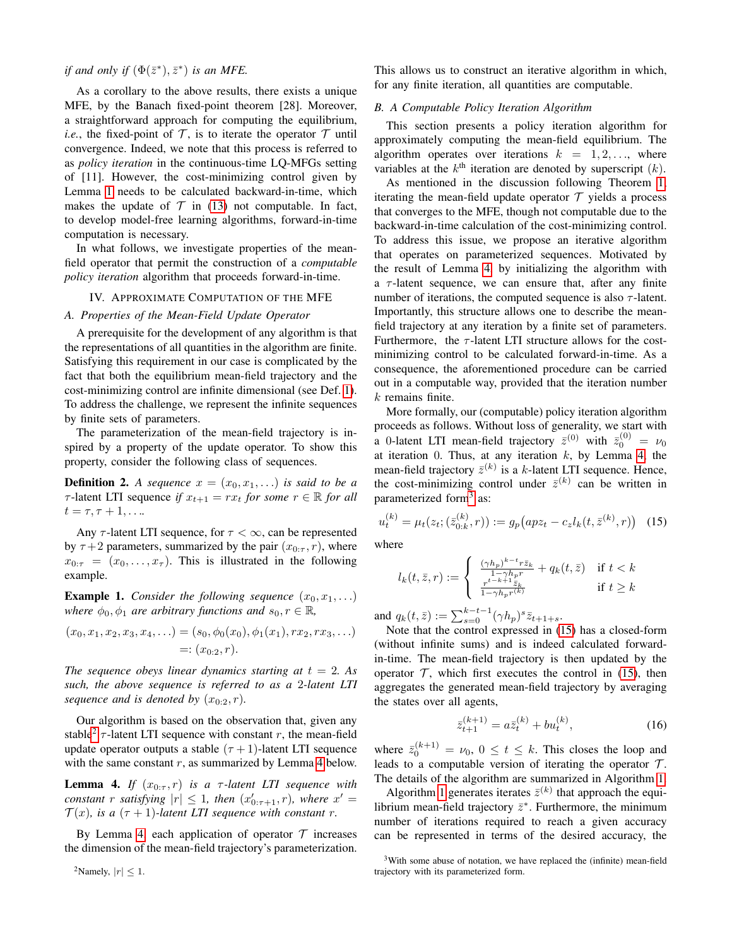*if and only if*  $(\Phi(\bar{z}^*), \bar{z}^*)$  *is an MFE.* 

As a corollary to the above results, there exists a unique MFE, by the Banach fixed-point theorem [28]. Moreover, a straightforward approach for computing the equilibrium, *i.e.*, the fixed-point of  $\mathcal{T}$ , is to iterate the operator  $\mathcal{T}$  until convergence. Indeed, we note that this process is referred to as *policy iteration* in the continuous-time LQ-MFGs setting of [11]. However, the cost-minimizing control given by Lemma [1](#page-2-7) needs to be calculated backward-in-time, which makes the update of  $\mathcal T$  in [\(13\)](#page-2-8) not computable. In fact, to develop model-free learning algorithms, forward-in-time computation is necessary.

In what follows, we investigate properties of the meanfield operator that permit the construction of a *computable policy iteration* algorithm that proceeds forward-in-time.

# IV. APPROXIMATE COMPUTATION OF THE MFE

# *A. Properties of the Mean-Field Update Operator*

A prerequisite for the development of any algorithm is that the representations of all quantities in the algorithm are finite. Satisfying this requirement in our case is complicated by the fact that both the equilibrium mean-field trajectory and the cost-minimizing control are infinite dimensional (see Def. [1\)](#page-2-9). To address the challenge, we represent the infinite sequences by finite sets of parameters.

The parameterization of the mean-field trajectory is inspired by a property of the update operator. To show this property, consider the following class of sequences.

**Definition 2.** A sequence  $x = (x_0, x_1, \ldots)$  is said to be a  $\tau$ -latent LTI sequence *if*  $x_{t+1} = rx_t$  *for some*  $r \in \mathbb{R}$  *for all*  $t = \tau, \tau + 1, \ldots$ 

Any  $\tau$ -latent LTI sequence, for  $\tau < \infty$ , can be represented by  $\tau$  +2 parameters, summarized by the pair  $(x_{0:\tau}, r)$ , where  $x_{0:\tau} = (x_0, \ldots, x_{\tau}).$  This is illustrated in the following example.

**Example 1.** *Consider the following sequence*  $(x_0, x_1, \ldots)$ *where*  $\phi_0, \phi_1$  *are arbitrary functions and*  $s_0, r \in \mathbb{R}$ *,* 

$$
(x_0, x_1, x_2, x_3, x_4, \ldots) = (s_0, \phi_0(x_0), \phi_1(x_1), rx_2, rx_3, \ldots)
$$
  
=:  $(x_{0:2}, r).$ 

*The sequence obeys linear dynamics starting at*  $t = 2$ *. As such, the above sequence is referred to as a* 2*-latent LTI sequence and is denoted by*  $(x_0, y_1, r)$ .

Our algorithm is based on the observation that, given any stable<sup>[2](#page-3-0)</sup>  $\tau$ -latent LTI sequence with constant r, the mean-field update operator outputs a stable  $(\tau + 1)$ -latent LTI sequence with the same constant  $r$ , as summarized by Lemma [4](#page-3-1) below.

<span id="page-3-1"></span>**Lemma 4.** *If*  $(x_{0:\tau}, r)$  *is a*  $\tau$ -latent LTI sequence with *constant r satisfying*  $|r| \leq 1$ *, then*  $(x'_{0:\tau+1}, r)$ *, where*  $x' =$  $\mathcal{T}(x)$ *, is a*  $(\tau + 1)$ *-latent LTI sequence with constant r.* 

By Lemma [4,](#page-3-1) each application of operator  $\mathcal T$  increases the dimension of the mean-field trajectory's parameterization. This allows us to construct an iterative algorithm in which, for any finite iteration, all quantities are computable.

# *B. A Computable Policy Iteration Algorithm*

This section presents a policy iteration algorithm for approximately computing the mean-field equilibrium. The algorithm operates over iterations  $k = 1, 2, \ldots$ , where variables at the  $k^{\text{th}}$  iteration are denoted by superscript  $(k)$ .

As mentioned in the discussion following Theorem [1,](#page-2-10) iterating the mean-field update operator  $T$  yields a process that converges to the MFE, though not computable due to the backward-in-time calculation of the cost-minimizing control. To address this issue, we propose an iterative algorithm that operates on parameterized sequences. Motivated by the result of Lemma [4,](#page-3-1) by initializing the algorithm with a  $\tau$ -latent sequence, we can ensure that, after any finite number of iterations, the computed sequence is also  $\tau$ -latent. Importantly, this structure allows one to describe the meanfield trajectory at any iteration by a finite set of parameters. Furthermore, the  $\tau$ -latent LTI structure allows for the costminimizing control to be calculated forward-in-time. As a consequence, the aforementioned procedure can be carried out in a computable way, provided that the iteration number  $k$  remains finite.

More formally, our (computable) policy iteration algorithm proceeds as follows. Without loss of generality, we start with a 0-latent LTI mean-field trajectory  $\bar{z}^{(0)}$  with  $\bar{z}^{(0)}_0 = \nu_0$ at iteration 0. Thus, at any iteration  $k$ , by Lemma [4,](#page-3-1) the mean-field trajectory  $\bar{z}^{(k)}$  is a k-latent LTI sequence. Hence, the cost-minimizing control under  $\bar{z}^{(k)}$  can be written in parameterized form<sup>[3](#page-3-2)</sup> as:

$$
u_t^{(k)} = \mu_t(z_t; (\bar{z}_{0:k}^{(k)}, r)) := g_p\big(apz_t - c_z l_k(t, \bar{z}^{(k)}, r)\big) \tag{15}
$$

where

<span id="page-3-3"></span>
$$
l_k(t, \bar{z}, r) := \begin{cases} \frac{(\gamma h_p)^{k-t} r \bar{z}_k}{1 - \gamma h_p r} + q_k(t, \bar{z}) & \text{if } t < k\\ \frac{r^{t-k+1} \bar{z}_k}{1 - \gamma h_p r^{(k)}} & \text{if } t \ge k \end{cases}
$$

and  $q_k(t, \bar{z}) := \sum_{s=0}^{k-t-1} (\gamma h_p)^s \bar{z}_{t+1+s}.$ 

Note that the control expressed in [\(15\)](#page-3-3) has a closed-form (without infinite sums) and is indeed calculated forwardin-time. The mean-field trajectory is then updated by the operator  $\mathcal T$ , which first executes the control in [\(15\)](#page-3-3), then aggregates the generated mean-field trajectory by averaging the states over all agents,

$$
\bar{z}_{t+1}^{(k+1)} = a\bar{z}_t^{(k)} + bu_t^{(k)},\tag{16}
$$

where  $\bar{z}_0^{(k+1)} = \nu_0$ ,  $0 \le t \le k$ . This closes the loop and leads to a computable version of iterating the operator  $\mathcal{T}$ . The details of the algorithm are summarized in Algorithm [1.](#page-4-1)

Algorithm [1](#page-4-1) generates iterates  $\bar{z}^{(k)}$  that approach the equilibrium mean-field trajectory  $\bar{z}^*$ . Furthermore, the minimum number of iterations required to reach a given accuracy can be represented in terms of the desired accuracy, the

<span id="page-3-0"></span><sup>2</sup>Namely,  $|r| < 1$ .

<span id="page-3-2"></span><sup>3</sup>With some abuse of notation, we have replaced the (infinite) mean-field trajectory with its parameterized form.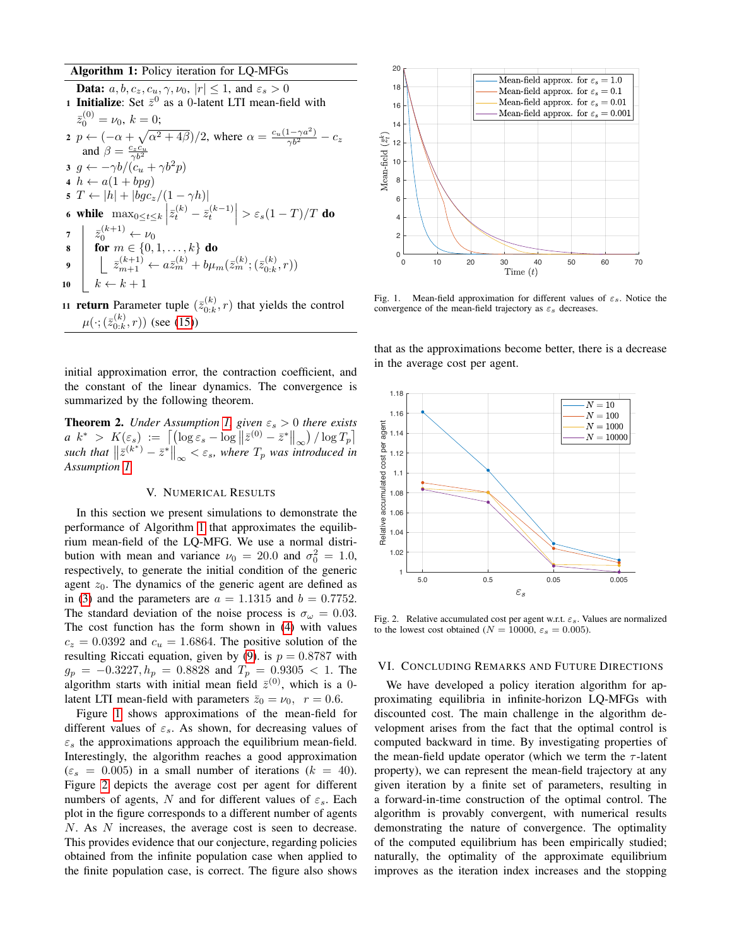### Algorithm 1: Policy iteration for LQ-MFGs

<span id="page-4-1"></span>

|    | <b>Data:</b> $a, b, c_z, c_u, \gamma, \nu_0,  r  \leq 1$ , and $\varepsilon_s > 0$                                                                                                                                                                                                             |
|----|------------------------------------------------------------------------------------------------------------------------------------------------------------------------------------------------------------------------------------------------------------------------------------------------|
|    | 1 Initialize: Set $\bar{z}^0$ as a 0-latent LTI mean-field with                                                                                                                                                                                                                                |
|    | $\bar{z}_0^{(0)} = \nu_0, k = 0;$                                                                                                                                                                                                                                                              |
|    | 2 $p \leftarrow (-\alpha + \sqrt{\alpha^2 + 4\beta})/2$ , where $\alpha = \frac{c_u(1-\gamma a^2)}{\gamma b^2} - c_z$                                                                                                                                                                          |
|    | and $\beta = \frac{c_z c_u}{\gamma h^2}$                                                                                                                                                                                                                                                       |
|    | $3 g \leftarrow -\gamma b/(c_u + \gamma b^2 p)$                                                                                                                                                                                                                                                |
|    | 4 $h \leftarrow a(1 + bpq)$                                                                                                                                                                                                                                                                    |
|    | $5T \leftarrow  h  +  bgc_z/(1 - \gamma h) $                                                                                                                                                                                                                                                   |
|    | 6 while $\max_{0\leq t\leq k}\left \overline{z}_{t}^{(k)}-\overline{z}_{t}^{(k-1)}\right >\varepsilon_{s}(1-T)/T$ do                                                                                                                                                                           |
|    |                                                                                                                                                                                                                                                                                                |
|    |                                                                                                                                                                                                                                                                                                |
|    | $\begin{array}{c} \mathbf{7} \parallel \bar{z}_0^{(k+1)} \leftarrow \nu_0 \\ \mathbf{8} \parallel \mathbf{for} \ m \in \{0,1,\ldots,k\} \ \mathbf{do} \\ \mathbf{9} \parallel \bar{z}_{m+1}^{(k+1)} \leftarrow a\bar{z}_m^{(k)} + b\mu_m(\bar{z}_m^{(k)};(\bar{z}_{0:k}^{(k)},r)) \end{array}$ |
| 10 | $\left  k \leftarrow k+1 \right $                                                                                                                                                                                                                                                              |
|    |                                                                                                                                                                                                                                                                                                |

11 **return** Parameter tuple  $(\bar{z}_{0:k}^{(k)})$  $\binom{n(k)}{0:k}$ , *r*) that yields the control  $\mu(\cdot; (\bar{z}_{0:k}^{(k)}$  $\binom{K}{0:k}, r$ ) (see [\(15\)](#page-3-3))

initial approximation error, the contraction coefficient, and the constant of the linear dynamics. The convergence is summarized by the following theorem.

<span id="page-4-4"></span>**Theorem 2.** *Under Assumption [1,](#page-2-3) given*  $\varepsilon_s > 0$  *there exists a*  $k^* > K(\varepsilon_s) := \left[ \left( \log \varepsilon_s - \log \left\| \bar{z}^{(0)} - \bar{z}^* \right\|_{\infty} \right) / \log T_p \right]$ such that  $\left\|\bar{z}^{(k^*)}-\bar{z}^*\right\|_{\infty} < \varepsilon_s$ , where  $T_p$  was introduced in *Assumption [1.](#page-2-3)*

#### V. NUMERICAL RESULTS

<span id="page-4-0"></span>In this section we present simulations to demonstrate the performance of Algorithm [1](#page-4-1) that approximates the equilibrium mean-field of the LQ-MFG. We use a normal distribution with mean and variance  $\nu_0 = 20.0$  and  $\sigma_0^2 = 1.0$ , respectively, to generate the initial condition of the generic agent  $z_0$ . The dynamics of the generic agent are defined as in [\(3\)](#page-1-2) and the parameters are  $a = 1.1315$  and  $b = 0.7752$ . The standard deviation of the noise process is  $\sigma_{\omega} = 0.03$ . The cost function has the form shown in [\(4\)](#page-1-1) with values  $c_z = 0.0392$  and  $c_u = 1.6864$ . The positive solution of the resulting Riccati equation, given by [\(9\)](#page-2-2). is  $p = 0.8787$  with  $g_p = -0.3227, h_p = 0.8828$  and  $T_p = 0.9305 < 1$ . The algorithm starts with initial mean field  $\bar{z}^{(0)}$ , which is a 0latent LTI mean-field with parameters  $\bar{z}_0 = v_0$ ,  $r = 0.6$ .

Figure [1](#page-4-2) shows approximations of the mean-field for different values of  $\varepsilon_s$ . As shown, for decreasing values of  $\varepsilon$ <sub>s</sub> the approximations approach the equilibrium mean-field. Interestingly, the algorithm reaches a good approximation  $(\varepsilon_s = 0.005)$  in a small number of iterations  $(k = 40)$ . Figure [2](#page-4-3) depicts the average cost per agent for different numbers of agents, N and for different values of  $\varepsilon_s$ . Each plot in the figure corresponds to a different number of agents N. As N increases, the average cost is seen to decrease. This provides evidence that our conjecture, regarding policies obtained from the infinite population case when applied to the finite population case, is correct. The figure also shows



<span id="page-4-2"></span>Fig. 1. Mean-field approximation for different values of  $\varepsilon_s$ . Notice the convergence of the mean-field trajectory as  $\varepsilon_s$  decreases.

that as the approximations become better, there is a decrease in the average cost per agent.



<span id="page-4-3"></span>Fig. 2. Relative accumulated cost per agent w.r.t.  $\varepsilon_s$ . Values are normalized to the lowest cost obtained ( $N = 10000$ ,  $\varepsilon_s = 0.005$ ).

### VI. CONCLUDING REMARKS AND FUTURE DIRECTIONS

We have developed a policy iteration algorithm for approximating equilibria in infinite-horizon LQ-MFGs with discounted cost. The main challenge in the algorithm development arises from the fact that the optimal control is computed backward in time. By investigating properties of the mean-field update operator (which we term the  $\tau$ -latent property), we can represent the mean-field trajectory at any given iteration by a finite set of parameters, resulting in a forward-in-time construction of the optimal control. The algorithm is provably convergent, with numerical results demonstrating the nature of convergence. The optimality of the computed equilibrium has been empirically studied; naturally, the optimality of the approximate equilibrium improves as the iteration index increases and the stopping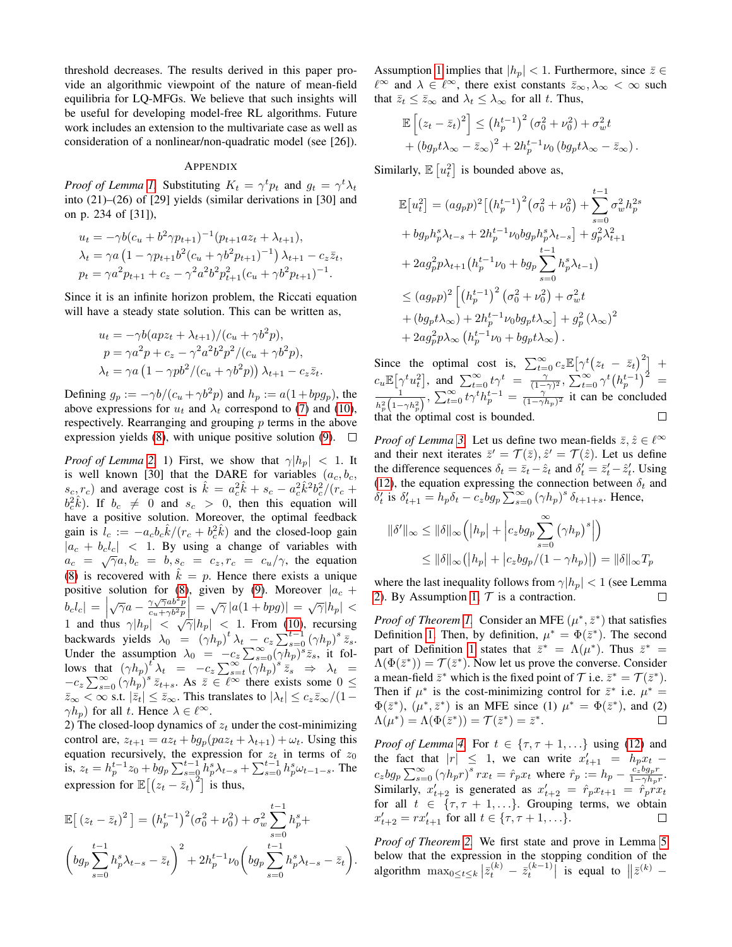threshold decreases. The results derived in this paper provide an algorithmic viewpoint of the nature of mean-field equilibria for LQ-MFGs. We believe that such insights will be useful for developing model-free RL algorithms. Future work includes an extension to the multivariate case as well as consideration of a nonlinear/non-quadratic model (see [26]).

#### APPENDIX

*Proof of Lemma [1.](#page-2-7)* Substituting  $K_t = \gamma^t p_t$  and  $g_t = \gamma^t \lambda_t$ into (21)–(26) of [29] yields (similar derivations in [30] and on p. 234 of [31]),

$$
u_t = -\gamma b (c_u + b^2 \gamma p_{t+1})^{-1} (p_{t+1} a z_t + \lambda_{t+1}),
$$
  
\n
$$
\lambda_t = \gamma a (1 - \gamma p_{t+1} b^2 (c_u + \gamma b^2 p_{t+1})^{-1}) \lambda_{t+1} - c_z \overline{z}_t,
$$
  
\n
$$
p_t = \gamma a^2 p_{t+1} + c_z - \gamma^2 a^2 b^2 p_{t+1}^2 (c_u + \gamma b^2 p_{t+1})^{-1}.
$$

Since it is an infinite horizon problem, the Riccati equation will have a steady state solution. This can be written as,

$$
u_t = -\gamma b(apz_t + \lambda_{t+1})/(c_u + \gamma b^2 p),
$$
  
\n
$$
p = \gamma a^2 p + c_z - \gamma^2 a^2 b^2 p^2 / (c_u + \gamma b^2 p),
$$
  
\n
$$
\lambda_t = \gamma a \left(1 - \gamma p b^2 / (c_u + \gamma b^2 p)\right) \lambda_{t+1} - c_z \overline{z}_t.
$$

Defining  $g_p := -\gamma b/(c_u + \gamma b^2 p)$  and  $h_p := a(1 + b p g_p)$ , the above expressions for  $u_t$  and  $\lambda_t$  correspond to [\(7\)](#page-2-4) and [\(10\)](#page-2-11), respectively. Rearranging and grouping  $p$  terms in the above expression yields [\(8\)](#page-2-1), with unique positive solution [\(9\)](#page-2-2).  $\Box$ 

*Proof of Lemma* [2.](#page-0-0) 1) First, we show that  $\gamma |h_p| < 1$ . It is well known [30] that the DARE for variables  $(a_c, b_c, c_c)$  $s_c, r_c$ ) and average cost is  $\hat{k} = a_c^2 \hat{k} + s_c - a_c^2 \hat{k}^2 b_c^2 / (r_c + r_c^2)$  $b_c^2 \hat{k}$ ). If  $b_c \neq 0$  and  $s_c > 0$ , then this equation will have a positive solution. Moreover, the optimal feedback gain is  $l_c := -a_c b_c \hat{k}/(r_c + b_c^2 \hat{k})$  and the closed-loop gain  $|a_c + b_c l_c|$  < 1. By using a change of variables with  $a_c = \sqrt{\gamma}a, b_c = b, s_c = c_z, r_c = c_u/\gamma$ , the equation [\(8\)](#page-2-1) is recovered with  $\hat{k} = p$ . Hence there exists a unique positive solution for [\(8\)](#page-2-1), given by [\(9\)](#page-2-2). Moreover  $|a_c +$ b<sub>c</sub>l<sub>c</sub> =  $\sqrt{\gamma}a - \frac{\gamma\sqrt{\gamma}ab^2p}{c_u + \gamma b^2p}$  $\frac{\gamma \sqrt{\gamma} a b^2 p}{c_u + \gamma b^2 p}$  =  $\sqrt{\gamma} |a(1 + bpg)| = \sqrt{\gamma} |h_p| <$ 1 and thus  $\gamma |h_p| < \sqrt{\gamma} |h_p| < 1$ . From [\(10\)](#page-2-11), recursing backwards yields  $\lambda_0 = (\gamma h_p)^t \lambda_t - c_z \sum_{s=0}^{t-1} (\gamma h_p)^s \overline{z_s}.$ Under the assumption  $\lambda_0 = -c_z \sum_{s=0}^{\infty} (\gamma h_p)^s \bar{z}_s$ , it follows that  $(\gamma h_p)^t \lambda_t = -c_z \sum_{s=t}^{\infty} (\gamma h_p)^s \overline{z_s} \implies \lambda_t =$  $-c_z \sum_{s=0}^{\infty} (\gamma h_p)^s \bar{z}_{t+s}$ . As  $\bar{z} \in \ell^{\infty}$  there exists some  $0 \leq$  $\bar{z}_{\infty} < \infty$  s.t.  $|\bar{z}_t| \leq \bar{z}_{\infty}$ . This translates to  $|\lambda_t| \leq c_z \bar{z}_{\infty}/(1-\epsilon)$  $\gamma h_p$ ) for all t. Hence  $\lambda \in \ell^{\infty}$ .

2) The closed-loop dynamics of  $z_t$  under the cost-minimizing control are,  $z_{t+1} = az_t + bg_p(paz_t + \lambda_{t+1}) + \omega_t$ . Using this equation recursively, the expression for  $z_t$  in terms of  $z_0$ is,  $z_t = h_p^{t-1} z_0 + b g_p \sum_{s=0}^{t-1} h_p^s \lambda_{t-s} + \sum_{s=0}^{t-1} h_p^s \omega_{t-1-s}$ . The expression for  $\mathbb{E}[(z_t - \bar{z}_t)^2]$  is thus,

$$
\mathbb{E}\left[\left(z_t - \bar{z}_t\right)^2\right] = \left(h_p^{t-1}\right)^2 \left(\sigma_0^2 + \nu_0^2\right) + \sigma_w^2 \sum_{s=0}^{t-1} h_p^s +
$$
\n
$$
\left(bg_p \sum_{s=0}^{t-1} h_p^s \lambda_{t-s} - \bar{z}_t\right)^2 + 2h_p^{t-1} \nu_0 \left(bg_p \sum_{s=0}^{t-1} h_p^s \lambda_{t-s} - \bar{z}_t\right).
$$

Assumption [1](#page-2-3) implies that  $|h_p| < 1$ . Furthermore, since  $\bar{z} \in$  $\ell^{\infty}$  and  $\lambda \in \ell^{\infty}$ , there exist constants  $\bar{z}_{\infty}, \lambda_{\infty} < \infty$  such that  $\bar{z}_t \leq \bar{z}_{\infty}$  and  $\lambda_t \leq \lambda_{\infty}$  for all t. Thus,

$$
\mathbb{E}\left[\left(z_t - \bar{z}_t\right)^2\right] \le \left(h_p^{t-1}\right)^2 \left(\sigma_0^2 + \nu_0^2\right) + \sigma_w^2 t
$$

$$
+ \left(bg_p t \lambda_\infty - \bar{z}_\infty\right)^2 + 2h_p^{t-1} \nu_0 \left(bg_p t \lambda_\infty - \bar{z}_\infty\right).
$$

Similarly,  $\mathbb{E}[u_t^2]$  is bounded above as,

$$
\mathbb{E}[u_t^2] = (a g_p p)^2 \left[ (h_p^{t-1})^2 (\sigma_0^2 + \nu_0^2) + \sum_{s=0}^{t-1} \sigma_w^2 h_p^{2s} + b g_p h_p^s \lambda_{t-s} + 2 h_p^{t-1} \nu_0 b g_p h_p^s \lambda_{t-s} \right] + g_p^2 \lambda_{t+1}^2
$$
  
+  $2 a g_p^2 p \lambda_{t+1} (h_p^{t-1} \nu_0 + b g_p \sum_{s=0}^{t-1} h_p^s \lambda_{t-1})$   
 $\leq (a g_p p)^2 \left[ (h_p^{t-1})^2 (\sigma_0^2 + \nu_0^2) + \sigma_w^2 t + (b g_p t \lambda_{\infty}) + 2 h_p^{t-1} \nu_0 b g_p t \lambda_{\infty} \right] + g_p^2 (\lambda_{\infty})^2$   
+  $2 a g_p^2 p \lambda_{\infty} (h_p^{t-1} \nu_0 + b g_p t \lambda_{\infty}).$ 

Since the optimal cost is,  $\sum_{t=0}^{\infty} c_z \mathbb{E} [\gamma^t (z_t - \bar{z}_t)^2]$  +  $c_u \mathbb{E}[\gamma^t u_t^2],$  and  $\sum_{t=0}^{\infty} t \gamma^t = \frac{\gamma}{(1-\gamma)^2}, \sum_{t=0}^{\infty} \gamma^t (h_p^{t-1})^2 =$  $\frac{1}{h_p^2(1-\gamma h_p^2)}, \sum_{t=0}^{\infty} t\gamma^t h_p^{t-1} = \frac{(\gamma^t)^{1/2}}{(1-\gamma h_p)^2}$  it can be concluded 1 that the optimal cost is bounded.  $\Box$ 

*Proof of Lemma* [3.](#page-2-12) Let us define two mean-fields  $\bar{z}, \hat{z} \in \ell^{\infty}$ and their next iterates  $\bar{z}' = \mathcal{T}(\bar{z}), \hat{z}' = \mathcal{T}(\hat{z})$ . Let us define the difference sequences  $\delta_t = \bar{z}_t - \hat{z}_t$  and  $\delta'_t = \bar{z}'_t - \hat{z}'_t$ . Using [\(12\)](#page-2-13), the equation expressing the connection between  $\delta_t$  and  $\delta_t'$  is  $\delta_{t+1}' = h_p \delta_t - c_z b g_p \sum_{s=0}^{\infty} (\gamma h_p)^s \delta_{t+1+s}$ . Hence,

$$
\|\delta'\|_{\infty} \le \|\delta\|_{\infty} \left( |h_p| + \left| c_z b g_p \sum_{s=0}^{\infty} (\gamma h_p)^s \right| \right)
$$
  

$$
\le \|\delta\|_{\infty} (|h_p| + \left| c_z b g_p / (1 - \gamma h_p) \right|) = \|\delta\|_{\infty} T_p
$$

where the last inequality follows from  $\gamma|h_p| < 1$  (see Lemma [2\)](#page-0-0). By Assumption [1,](#page-2-3)  $T$  is a contraction.  $\Box$ 

*Proof of Theorem [1.](#page-2-10)* Consider an MFE  $(\mu^*, \bar{z}^*)$  that satisfies Definition [1.](#page-2-9) Then, by definition,  $\mu^* = \Phi(\bar{z}^*)$ . The second part of Definition [1](#page-2-9) states that  $\bar{z}^* = \Lambda(\mu^*)$ . Thus  $\bar{z}^* =$  $\Lambda(\Phi(\bar{z}^*)) = \mathcal{T}(\bar{z}^*)$ . Now let us prove the converse. Consider a mean-field  $\bar{z}^*$  which is the fixed point of  $\mathcal T$  i.e.  $\bar{z}^* = \mathcal T(\bar{z}^*)$ . Then if  $\mu^*$  is the cost-minimizing control for  $\bar{z}^*$  i.e.  $\mu^* =$  $\Phi(\bar{z}^*)$ ,  $(\mu^*, \bar{z}^*)$  is an MFE since (1)  $\mu^* = \Phi(\bar{z}^*)$ , and (2)  $\Lambda(\mu^*) = \Lambda(\Phi(\bar{z}^*)) = \mathcal{T}(\bar{z}^*) = \bar{z}^*.$ П

*Proof of Lemma* [4.](#page-3-1) For  $t \in \{\tau, \tau + 1, ...\}$  using [\(12\)](#page-2-13) and the fact that  $|r| \leq 1$ , we can write  $x'_{t+1} = h_p x_t$  –  $c_zbg_p\sum_{s=0}^{\infty}(\gamma h_pr)^s rx_t = \hat{r}_px_t$  where  $\hat{r}_p := h_p - \frac{\hat{c}_zbg_pr}{1-\gamma h_p}$  $\frac{c_z \nu g_p r}{1-\gamma h_p r}.$ Similarly,  $x'_{t+2}$  is generated as  $x'_{t+2} = \hat{r}_p x_{t+1} = \hat{r}_p x_x$ for all  $t \in \{\tau, \tau + 1, \ldots\}$ . Grouping terms, we obtain  $x'_{t+2} = rx'_{t+1}$  for all  $t \in \{\tau, \tau + 1, ...\}$ .  $\Box$ 

*Proof of Theorem [2.](#page-4-4)* We first state and prove in Lemma [5](#page-6-0) below that the expression in the stopping condition of the algorithm  $\max_{0 \le t \le k} |\bar{z}_t^{(k)} - \bar{z}_t^{(k-1)}|$  is equal to  $||\bar{z}^{(k)} -$